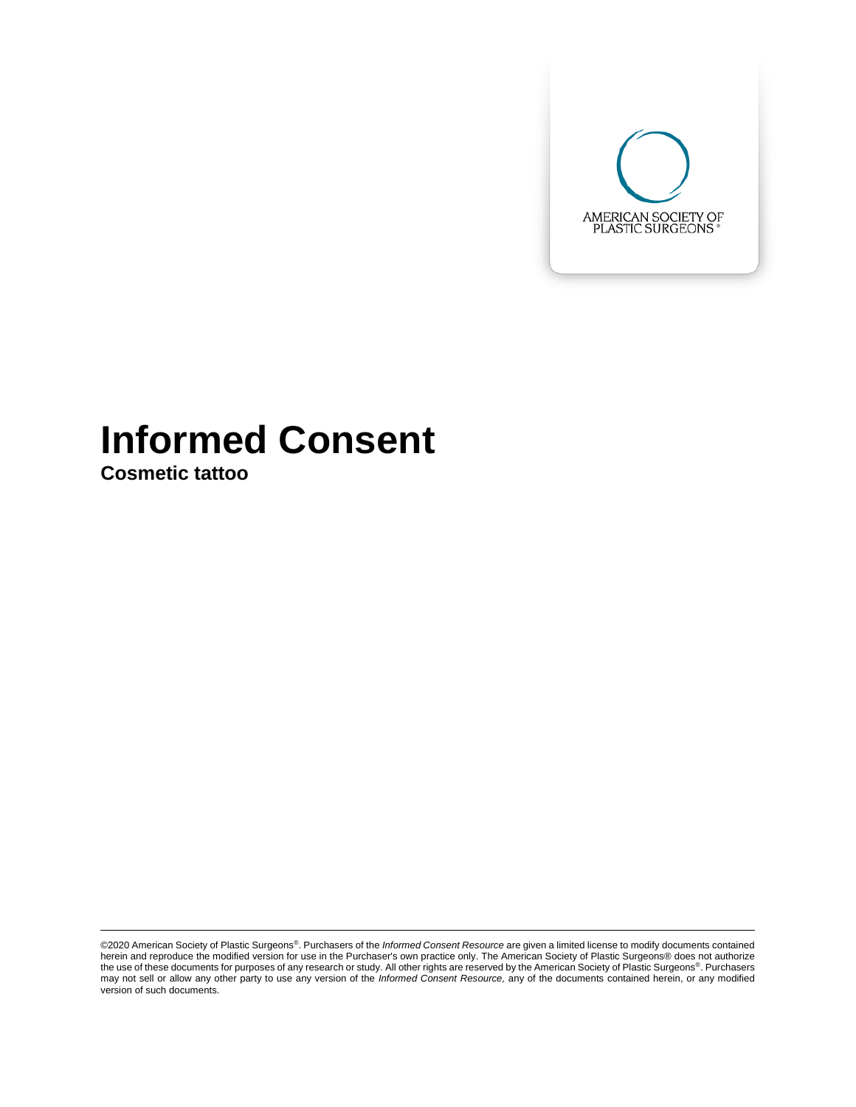

# **Informed Consent**

**Cosmetic tattoo**

<sup>©2020</sup> American Society of Plastic Surgeons®. Purchasers of the *Informed Consent Resource* are given a limited license to modify documents contained herein and reproduce the modified version for use in the Purchaser's own practice only. The American Society of Plastic Surgeons® does not authorize the use of these documents for purposes of any research or study. All other rights are reserved by the American Society of Plastic Surgeons®. Purchasers may not sell or allow any other party to use any version of the *Informed Consent Resource,* any of the documents contained herein, or any modified version of such documents.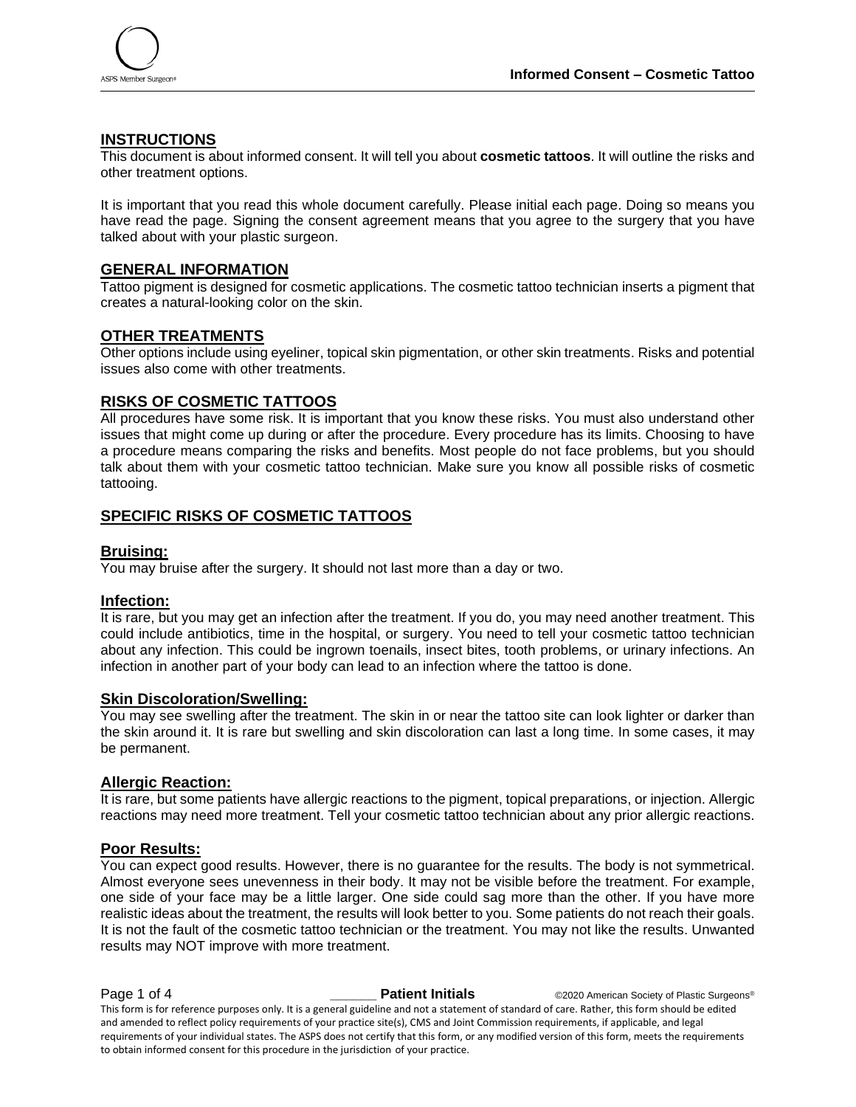

# **INSTRUCTIONS**

This document is about informed consent. It will tell you about **cosmetic tattoos**. It will outline the risks and other treatment options.

It is important that you read this whole document carefully. Please initial each page. Doing so means you have read the page. Signing the consent agreement means that you agree to the surgery that you have talked about with your plastic surgeon.

# **GENERAL INFORMATION**

Tattoo pigment is designed for cosmetic applications. The cosmetic tattoo technician inserts a pigment that creates a natural-looking color on the skin.

# **OTHER TREATMENTS**

Other options include using eyeliner, topical skin pigmentation, or other skin treatments. Risks and potential issues also come with other treatments.

#### **RISKS OF COSMETIC TATTOOS**

All procedures have some risk. It is important that you know these risks. You must also understand other issues that might come up during or after the procedure. Every procedure has its limits. Choosing to have a procedure means comparing the risks and benefits. Most people do not face problems, but you should talk about them with your cosmetic tattoo technician. Make sure you know all possible risks of cosmetic tattooing.

# **SPECIFIC RISKS OF COSMETIC TATTOOS**

#### **Bruising:**

You may bruise after the surgery. It should not last more than a day or two.

#### **Infection:**

It is rare, but you may get an infection after the treatment. If you do, you may need another treatment. This could include antibiotics, time in the hospital, or surgery. You need to tell your cosmetic tattoo technician about any infection. This could be ingrown toenails, insect bites, tooth problems, or urinary infections. An infection in another part of your body can lead to an infection where the tattoo is done.

# **Skin Discoloration/Swelling:**

You may see swelling after the treatment. The skin in or near the tattoo site can look lighter or darker than the skin around it. It is rare but swelling and skin discoloration can last a long time. In some cases, it may be permanent.

#### **Allergic Reaction:**

It is rare, but some patients have allergic reactions to the pigment, topical preparations, or injection. Allergic reactions may need more treatment. Tell your cosmetic tattoo technician about any prior allergic reactions.

# **Poor Results:**

You can expect good results. However, there is no guarantee for the results. The body is not symmetrical. Almost everyone sees unevenness in their body. It may not be visible before the treatment. For example, one side of your face may be a little larger. One side could sag more than the other. If you have more realistic ideas about the treatment, the results will look better to you. Some patients do not reach their goals. It is not the fault of the cosmetic tattoo technician or the treatment. You may not like the results. Unwanted results may NOT improve with more treatment.

**Page 1 of 4 and COV COVERTS 2000 Patient Initials C2020** American Society of Plastic Surgeons® This form is for reference purposes only. It is a general guideline and not a statement of standard of care. Rather, this form should be edited and amended to reflect policy requirements of your practice site(s), CMS and Joint Commission requirements, if applicable, and legal requirements of your individual states. The ASPS does not certify that this form, or any modified version of this form, meets the requirements to obtain informed consent for this procedure in the jurisdiction of your practice.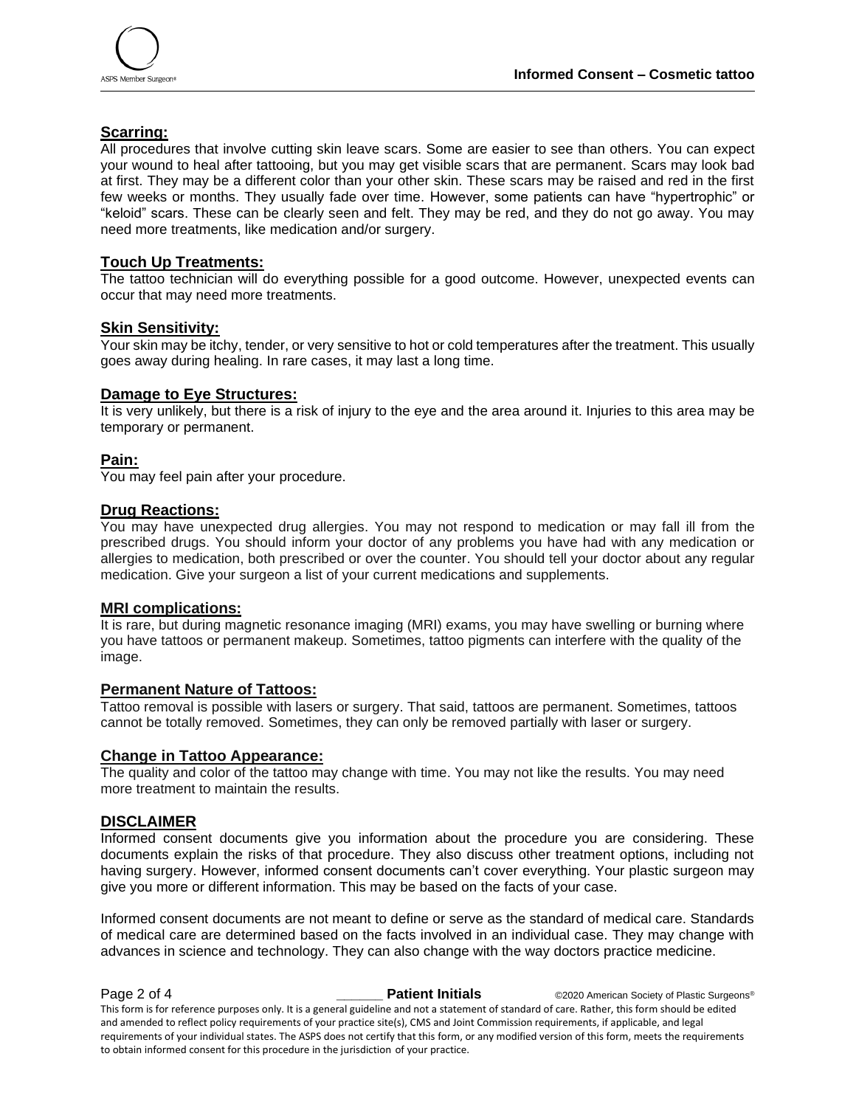

# **Scarring:**

All procedures that involve cutting skin leave scars. Some are easier to see than others. You can expect your wound to heal after tattooing, but you may get visible scars that are permanent. Scars may look bad at first. They may be a different color than your other skin. These scars may be raised and red in the first few weeks or months. They usually fade over time. However, some patients can have "hypertrophic" or "keloid" scars. These can be clearly seen and felt. They may be red, and they do not go away. You may need more treatments, like medication and/or surgery.

# **Touch Up Treatments:**

The tattoo technician will do everything possible for a good outcome. However, unexpected events can occur that may need more treatments.

# **Skin Sensitivity:**

Your skin may be itchy, tender, or very sensitive to hot or cold temperatures after the treatment. This usually goes away during healing. In rare cases, it may last a long time.

# **Damage to Eye Structures:**

It is very unlikely, but there is a risk of injury to the eye and the area around it. Injuries to this area may be temporary or permanent.

# **Pain:**

You may feel pain after your procedure.

# **Drug Reactions:**

You may have unexpected drug allergies. You may not respond to medication or may fall ill from the prescribed drugs. You should inform your doctor of any problems you have had with any medication or allergies to medication, both prescribed or over the counter. You should tell your doctor about any regular medication. Give your surgeon a list of your current medications and supplements.

#### **MRI complications:**

It is rare, but during magnetic resonance imaging (MRI) exams, you may have swelling or burning where you have tattoos or permanent makeup. Sometimes, tattoo pigments can interfere with the quality of the image.

#### **Permanent Nature of Tattoos:**

Tattoo removal is possible with lasers or surgery. That said, tattoos are permanent. Sometimes, tattoos cannot be totally removed. Sometimes, they can only be removed partially with laser or surgery.

#### **Change in Tattoo Appearance:**

The quality and color of the tattoo may change with time. You may not like the results. You may need more treatment to maintain the results.

# **DISCLAIMER**

Informed consent documents give you information about the procedure you are considering. These documents explain the risks of that procedure. They also discuss other treatment options, including not having surgery. However, informed consent documents can't cover everything. Your plastic surgeon may give you more or different information. This may be based on the facts of your case.

Informed consent documents are not meant to define or serve as the standard of medical care. Standards of medical care are determined based on the facts involved in an individual case. They may change with advances in science and technology. They can also change with the way doctors practice medicine.

**Page 2 of 4 and COV COVERTS 2000 Patient Initials C2020** American Society of Plastic Surgeons® This form is for reference purposes only. It is a general guideline and not a statement of standard of care. Rather, this form should be edited and amended to reflect policy requirements of your practice site(s), CMS and Joint Commission requirements, if applicable, and legal requirements of your individual states. The ASPS does not certify that this form, or any modified version of this form, meets the requirements to obtain informed consent for this procedure in the jurisdiction of your practice.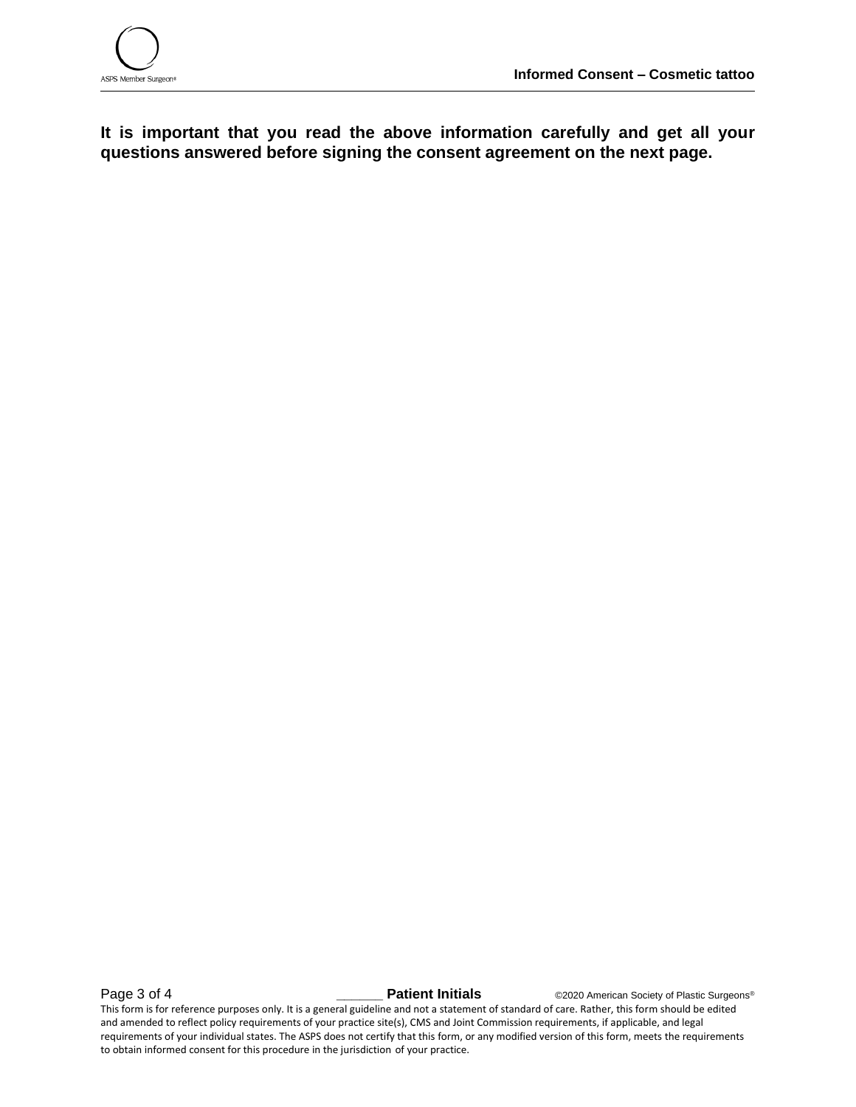

**It is important that you read the above information carefully and get all your questions answered before signing the consent agreement on the next page.**

**Page 3 of 4 Later 2 Constraint Patient Initials C2020** American Society of Plastic Surgeons® This form is for reference purposes only. It is a general guideline and not a statement of standard of care. Rather, this form should be edited and amended to reflect policy requirements of your practice site(s), CMS and Joint Commission requirements, if applicable, and legal requirements of your individual states. The ASPS does not certify that this form, or any modified version of this form, meets the requirements to obtain informed consent for this procedure in the jurisdiction of your practice.